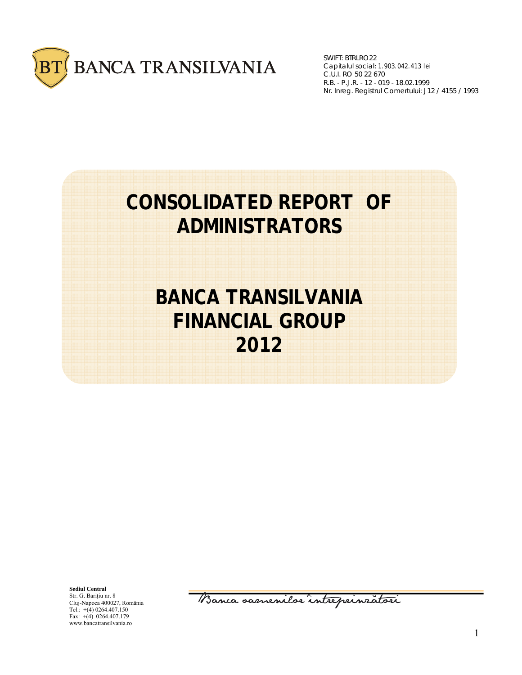

SWIFT: BTRLRO22 Capitalul social: 1.903.042.413 lei R.B. - P.J.R. - 12 - 019 - 18.02.1999 Nr. Inreg. Registrul Comertului: J12 / 4155 / 1993 C.U.I. RO 50 22 670

# **CONSOLIDATED REPORT OF ADMINISTRATORS**

# **BANCA TRANSILVANIA FINANCIAL GROUP 2012**

**Sediul Central**  Str. G. Bariţiu nr. 8 Cluj-Napoca 400027, România Tel.:  $+(4)$  0264.407.150 Fax: +(4) 0264.407.179 www.bancatransilvania.ro

Banca samenilor intreprinratori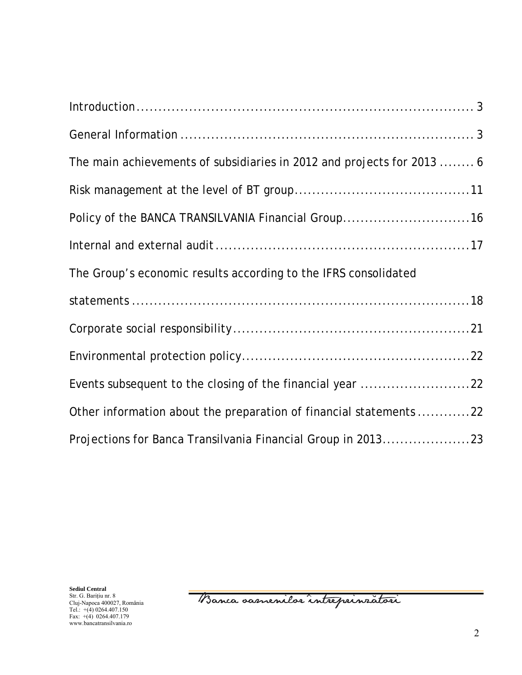| $Introduction \dots 3$                                                 |
|------------------------------------------------------------------------|
|                                                                        |
| The main achievements of subsidiaries in 2012 and projects for 2013  6 |
|                                                                        |
| Policy of the BANCA TRANSILVANIA Financial Group16                     |
|                                                                        |
| The Group's economic results according to the IFRS consolidated        |
|                                                                        |
|                                                                        |
|                                                                        |
| Events subsequent to the closing of the financial year 22              |
| Other information about the preparation of financial statements 22     |
| Projections for Banca Transilvania Financial Group in 201323           |

**Sediul Central**  Str. G. Bariţiu nr. 8 Cluj-Napoca 400027, România Tel.: +(4) 0264.407.150 Fax: +(4) 0264.407.179 www.bancatransilvania.ro

Banca oamenilor intreprinratori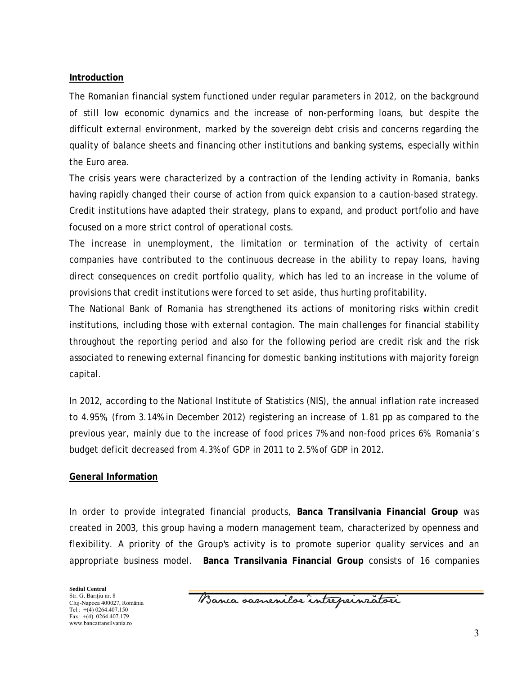### **Introduction**

The Romanian financial system functioned under regular parameters in 2012, on the background of still low economic dynamics and the increase of non-performing loans, but despite the difficult external environment, marked by the sovereign debt crisis and concerns regarding the quality of balance sheets and financing other institutions and banking systems, especially within the Euro area.

The crisis years were characterized by a contraction of the lending activity in Romania, banks having rapidly changed their course of action from quick expansion to a caution-based strategy. Credit institutions have adapted their strategy, plans to expand, and product portfolio and have focused on a more strict control of operational costs.

The increase in unemployment, the limitation or termination of the activity of certain companies have contributed to the continuous decrease in the ability to repay loans, having direct consequences on credit portfolio quality, which has led to an increase in the volume of provisions that credit institutions were forced to set aside, thus hurting profitability.

The National Bank of Romania has strengthened its actions of monitoring risks within credit institutions, including those with external contagion. The main challenges for financial stability throughout the reporting period and also for the following period are credit risk and the risk associated to renewing external financing for domestic banking institutions with majority foreign capital.

In 2012, according to the National Institute of Statistics (NIS), the annual inflation rate increased to 4.95%, (from 3.14% in December 2012) registering an increase of 1.81 pp as compared to the previous year, mainly due to the increase of food prices 7% and non-food prices 6%. Romania's budget deficit decreased from 4.3% of GDP in 2011 to 2.5% of GDP in 2012.

### **General Information**

In order to provide integrated financial products, **Banca Transilvania Financial Group** was created in 2003, this group having a modern management team, characterized by openness and flexibility. A priority of the Group's activity is to promote superior quality services and an appropriate business model. **Banca Transilvania Financial Group** consists of 16 companies

Banca samenilor intreprinzatori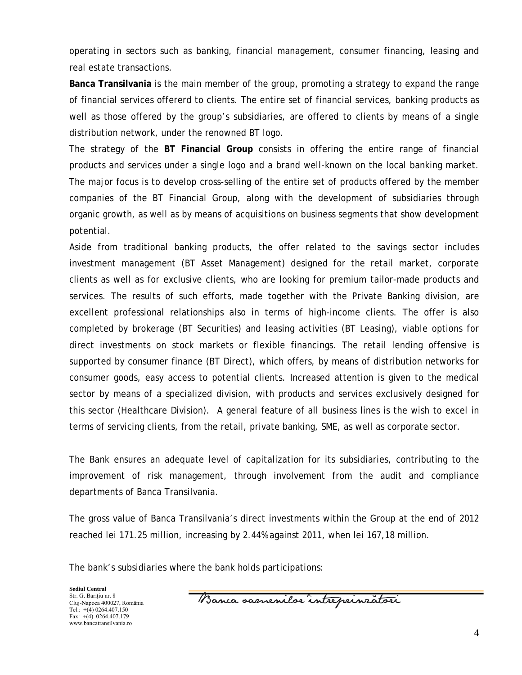operating in sectors such as banking, financial management, consumer financing, leasing and real estate transactions.

**Banca Transilvania** is the main member of the group, promoting a strategy to expand the range of financial services offererd to clients. The entire set of financial services, banking products as well as those offered by the group's subsidiaries, are offered to clients by means of a single distribution network, under the renowned BT logo.

The strategy of the **BT Financial Group** consists in offering the entire range of financial products and services under a single logo and a brand well-known on the local banking market. The major focus is to develop cross-selling of the entire set of products offered by the member companies of the BT Financial Group, along with the development of subsidiaries through organic growth, as well as by means of acquisitions on business segments that show development potential.

Aside from traditional banking products, the offer related to the savings sector includes investment management (BT Asset Management) designed for the retail market, corporate clients as well as for exclusive clients, who are looking for premium tailor-made products and services. The results of such efforts, made together with the Private Banking division, are excellent professional relationships also in terms of high-income clients. The offer is also completed by brokerage (BT Securities) and leasing activities (BT Leasing), viable options for direct investments on stock markets or flexible financings. The retail lending offensive is supported by consumer finance (BT Direct), which offers, by means of distribution networks for consumer goods, easy access to potential clients. Increased attention is given to the medical sector by means of a specialized division, with products and services exclusively designed for this sector (Healthcare Division). A general feature of all business lines is the wish to excel in terms of servicing clients, from the retail, private banking, SME, as well as corporate sector.

The Bank ensures an adequate level of capitalization for its subsidiaries, contributing to the improvement of risk management, through involvement from the audit and compliance departments of Banca Transilvania.

The gross value of Banca Transilvania's direct investments within the Group at the end of 2012 reached lei 171.25 million, increasing by 2.44% against 2011, when lei 167,18 million.

The bank's subsidiaries where the bank holds participations:

Banca samenilor intreprinzatori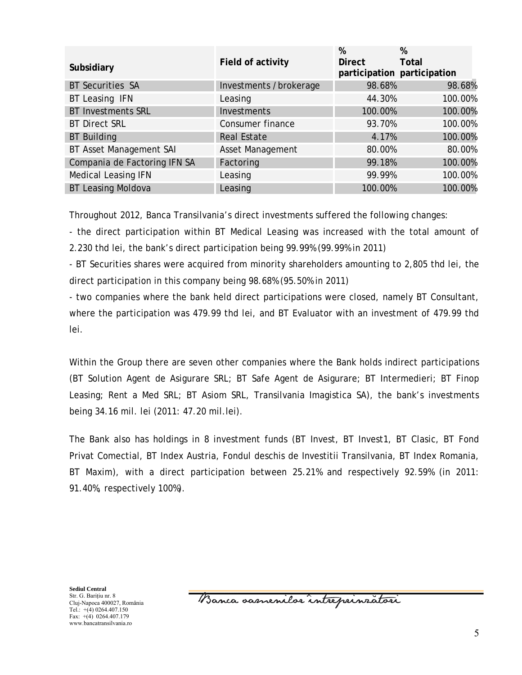| Subsidiary                   | Field of activity      | %<br><b>Direct</b> | %<br>Total<br>participation participation |
|------------------------------|------------------------|--------------------|-------------------------------------------|
| <b>BT Securities SA</b>      | Investments /brokerage | 98.68%             | 98.68%                                    |
| BT Leasing IFN               | Leasing                | 44.30%             | 100.00%                                   |
| <b>BT Investments SRL</b>    | Investments            | 100.00%            | 100.00%                                   |
| <b>BT Direct SRL</b>         | Consumer finance       | 93.70%             | 100.00%                                   |
| <b>BT Building</b>           | <b>Real Estate</b>     | 4.17%              | 100.00%                                   |
| BT Asset Management SAI      | Asset Management       | 80.00%             | 80.00%                                    |
| Compania de Factoring IFN SA | Factoring              | 99.18%             | 100.00%                                   |
| <b>Medical Leasing IFN</b>   | Leasing                | 99.99%             | 100.00%                                   |
| <b>BT Leasing Moldova</b>    | Leasing                | 100.00%            | 100.00%                                   |

Throughout 2012, Banca Transilvania's direct investments suffered the following changes:

- the direct participation within BT Medical Leasing was increased with the total amount of 2.230 thd lei, the bank's direct participation being 99.99% (99.99% in 2011)

- BT Securities shares were acquired from minority shareholders amounting to 2,805 thd lei, the direct participation in this company being 98.68% (95.50% in 2011)

- two companies where the bank held direct participations were closed, namely BT Consultant, where the participation was 479.99 thd lei, and BT Evaluator with an investment of 479.99 thd lei.

Within the Group there are seven other companies where the Bank holds indirect participations (BT Solution Agent de Asigurare SRL; BT Safe Agent de Asigurare; BT Intermedieri; BT Finop Leasing; Rent a Med SRL; BT Asiom SRL, Transilvania Imagistica SA), the bank's investments being 34.16 mil. lei (2011: 47.20 mil.lei).

The Bank also has holdings in 8 investment funds (BT Invest, BT Invest1, BT Clasic, BT Fond Privat Comectial, BT Index Austria, Fondul deschis de Investitii Transilvania, BT Index Romania, BT Maxim), with a direct participation between 25.21% and respectively 92.59% (in 2011: 91.40%, respectively 100%).

**Sediul Central**  Str. G. Bariţiu nr. 8 Cluj-Napoca 400027, România Tel.:  $+(4)$  0264.407.150 Fax: +(4) 0264.407.179 www.bancatransilvania.ro

Banca oasnenilor intreprinzatori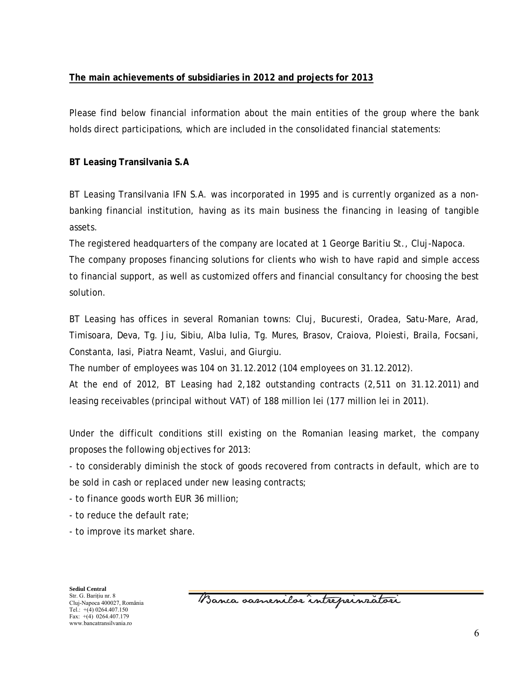## **The main achievements of subsidiaries in 2012 and projects for 2013**

Please find below financial information about the main entities of the group where the bank holds direct participations, which are included in the consolidated financial statements:

## **BT Leasing Transilvania S.A**

BT Leasing Transilvania IFN S.A. was incorporated in 1995 and is currently organized as a nonbanking financial institution, having as its main business the financing in leasing of tangible assets.

The registered headquarters of the company are located at 1 George Baritiu St., Cluj-Napoca.

The company proposes financing solutions for clients who wish to have rapid and simple access to financial support, as well as customized offers and financial consultancy for choosing the best solution.

BT Leasing has offices in several Romanian towns: Cluj, Bucuresti, Oradea, Satu-Mare, Arad, Timisoara, Deva, Tg. Jiu, Sibiu, Alba Iulia, Tg. Mures, Brasov, Craiova, Ploiesti, Braila, Focsani, Constanta, Iasi, Piatra Neamt, Vaslui, and Giurgiu.

The number of employees was 104 on 31.12.2012 (104 employees on 31.12.2012).

At the end of 2012, BT Leasing had 2,182 outstanding contracts (2,511 on 31.12.2011) and leasing receivables (principal without VAT) of 188 million lei (177 million lei in 2011).

Under the difficult conditions still existing on the Romanian leasing market, the company proposes the following objectives for 2013:

- to considerably diminish the stock of goods recovered from contracts in default, which are to be sold in cash or replaced under new leasing contracts;

- to finance goods worth EUR 36 million;

- to reduce the default rate;
- to improve its market share.

**Sediul Central**  Str. G. Bariţiu nr. 8 Cluj-Napoca 400027, România Tel.:  $+(4)$  0264.407.150 Fax: +(4) 0264.407.179 www.bancatransilvania.ro

Banca samenilor intreprinzatori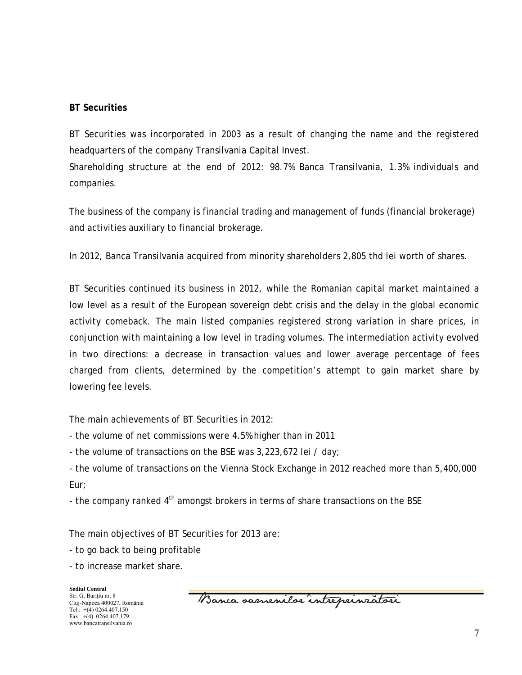## **BT Securities**

BT Securities was incorporated in 2003 as a result of changing the name and the registered headquarters of the company Transilvania Capital Invest.

Shareholding structure at the end of 2012: 98.7% Banca Transilvania, 1.3% individuals and companies.

The business of the company is financial trading and management of funds (financial brokerage) and activities auxiliary to financial brokerage.

In 2012, Banca Transilvania acquired from minority shareholders 2,805 thd lei worth of shares.

BT Securities continued its business in 2012, while the Romanian capital market maintained a low level as a result of the European sovereign debt crisis and the delay in the global economic activity comeback. The main listed companies registered strong variation in share prices, in conjunction with maintaining a low level in trading volumes. The intermediation activity evolved in two directions: a decrease in transaction values and lower average percentage of fees charged from clients, determined by the competition's attempt to gain market share by lowering fee levels.

The main achievements of BT Securities in 2012:

- the volume of net commissions were 4.5% higher than in 2011

- the volume of transactions on the BSE was 3,223,672 lei / day;

- the volume of transactions on the Vienna Stock Exchange in 2012 reached more than 5,400,000 Eur;

- the company ranked  $4<sup>th</sup>$  amongst brokers in terms of share transactions on the BSE

The main objectives of BT Securities for 2013 are:

- to go back to being profitable

- to increase market share.

**Sediul Central**  Str. G. Bariţiu nr. 8 Cluj-Napoca 400027, România Tel.:  $+(4)$  0264.407.150 Fax: +(4) 0264.407.179 www.bancatransilvania.ro

Banca samenilor intreprinzatori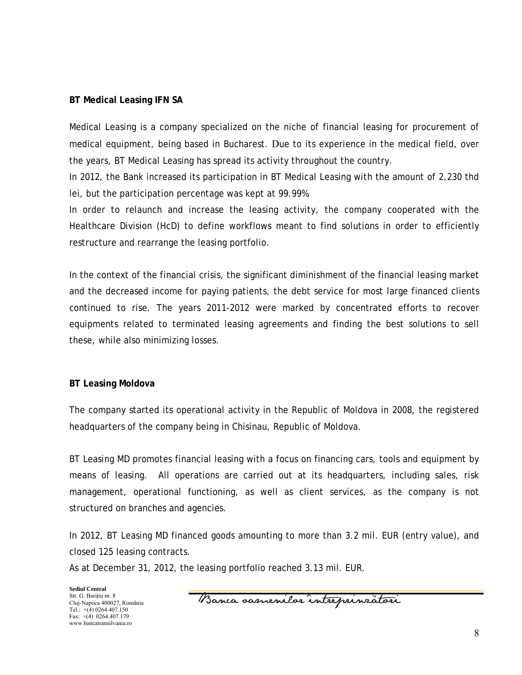### **BT Medical Leasing IFN SA**

Medical Leasing is a company specialized on the niche of financial leasing for procurement of medical equipment, being based in Bucharest. Due to its experience in the medical field, over the years, BT Medical Leasing has spread its activity throughout the country.

In 2012, the Bank increased its participation in BT Medical Leasing with the amount of 2,230 thd lei, but the participation percentage was kept at 99.99%.

In order to relaunch and increase the leasing activity, the company cooperated with the Healthcare Division (HcD) to define workflows meant to find solutions in order to efficiently restructure and rearrange the leasing portfolio.

In the context of the financial crisis, the significant diminishment of the financial leasing market and the decreased income for paying patients, the debt service for most large financed clients continued to rise. The years 2011-2012 were marked by concentrated efforts to recover equipments related to terminated leasing agreements and finding the best solutions to sell these, while also minimizing losses.

#### **BT Leasing Moldova**

The company started its operational activity in the Republic of Moldova in 2008, the registered headquarters of the company being in Chisinau, Republic of Moldova.

BT Leasing MD promotes financial leasing with a focus on financing cars, tools and equipment by means of leasing. All operations are carried out at its headquarters, including sales, risk management, operational functioning, as well as client services, as the company is not structured on branches and agencies.

In 2012, BT Leasing MD financed goods amounting to more than 3.2 mil. EUR (entry value), and closed 125 leasing contracts.

As at December 31, 2012, the leasing portfolio reached 3.13 mil. EUR.

Banca samenilor intreprinzatori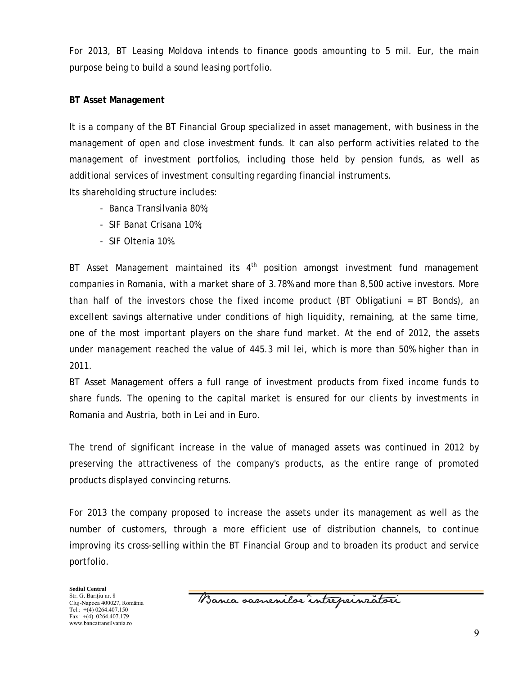For 2013, BT Leasing Moldova intends to finance goods amounting to 5 mil. Eur, the main purpose being to build a sound leasing portfolio.

## **BT Asset Management**

It is a company of the BT Financial Group specialized in asset management, with business in the management of open and close investment funds. It can also perform activities related to the management of investment portfolios, including those held by pension funds, as well as additional services of investment consulting regarding financial instruments.

Its shareholding structure includes:

- Banca Transilvania 80%;
- SIF Banat Crisana 10%;
- SIF Oltenia 10%.

BT Asset Management maintained its  $4<sup>th</sup>$  position amongst investment fund management companies in Romania, with a market share of 3.78% and more than 8,500 active investors. More than half of the investors chose the fixed income product (BT Obligatiuni = BT Bonds), an excellent savings alternative under conditions of high liquidity, remaining, at the same time, one of the most important players on the share fund market. At the end of 2012, the assets under management reached the value of 445.3 mil lei, which is more than 50% higher than in 2011.

BT Asset Management offers a full range of investment products from fixed income funds to share funds. The opening to the capital market is ensured for our clients by investments in Romania and Austria, both in Lei and in Euro.

The trend of significant increase in the value of managed assets was continued in 2012 by preserving the attractiveness of the company's products, as the entire range of promoted products displayed convincing returns.

For 2013 the company proposed to increase the assets under its management as well as the number of customers, through a more efficient use of distribution channels, to continue improving its cross-selling within the BT Financial Group and to broaden its product and service portfolio.

Banca samenilor intreprinzatori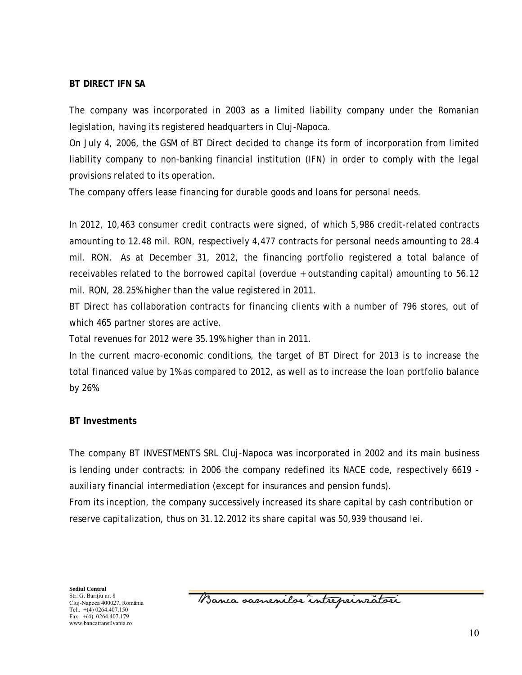### **BT DIRECT IFN SA**

The company was incorporated in 2003 as a limited liability company under the Romanian legislation, having its registered headquarters in Cluj-Napoca.

On July 4, 2006, the GSM of BT Direct decided to change its form of incorporation from limited liability company to non-banking financial institution (IFN) in order to comply with the legal provisions related to its operation.

The company offers lease financing for durable goods and loans for personal needs.

In 2012, 10,463 consumer credit contracts were signed, of which 5,986 credit-related contracts amounting to 12.48 mil. RON, respectively 4,477 contracts for personal needs amounting to 28.4 mil. RON. As at December 31, 2012, the financing portfolio registered a total balance of receivables related to the borrowed capital (overdue + outstanding capital) amounting to 56.12 mil. RON, 28.25% higher than the value registered in 2011.

BT Direct has collaboration contracts for financing clients with a number of 796 stores, out of which 465 partner stores are active.

Total revenues for 2012 were 35.19% higher than in 2011.

In the current macro-economic conditions, the target of BT Direct for 2013 is to increase the total financed value by 1% as compared to 2012, as well as to increase the loan portfolio balance by 26%.

### **BT Investments**

The company BT INVESTMENTS SRL Cluj-Napoca was incorporated in 2002 and its main business is lending under contracts; in 2006 the company redefined its NACE code, respectively 6619 auxiliary financial intermediation (except for insurances and pension funds).

From its inception, the company successively increased its share capital by cash contribution or reserve capitalization, thus on 31.12.2012 its share capital was 50,939 thousand lei.

Banca oasnenilor intreprinzatori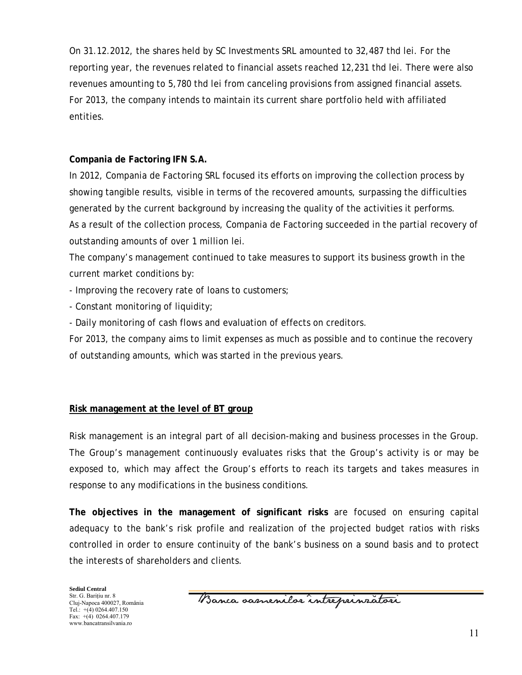On 31.12.2012, the shares held by SC Investments SRL amounted to 32,487 thd lei. For the reporting year, the revenues related to financial assets reached 12,231 thd lei. There were also revenues amounting to 5,780 thd lei from canceling provisions from assigned financial assets. For 2013, the company intends to maintain its current share portfolio held with affiliated entities.

## **Compania de Factoring IFN S.A.**

In 2012, Compania de Factoring SRL focused its efforts on improving the collection process by showing tangible results, visible in terms of the recovered amounts, surpassing the difficulties generated by the current background by increasing the quality of the activities it performs. As a result of the collection process, Compania de Factoring succeeded in the partial recovery of outstanding amounts of over 1 million lei.

The company's management continued to take measures to support its business growth in the current market conditions by:

- Improving the recovery rate of loans to customers;

- Constant monitoring of liquidity;

- Daily monitoring of cash flows and evaluation of effects on creditors.

For 2013, the company aims to limit expenses as much as possible and to continue the recovery of outstanding amounts, which was started in the previous years.

## **Risk management at the level of BT group**

Risk management is an integral part of all decision-making and business processes in the Group. The Group's management continuously evaluates risks that the Group's activity is or may be exposed to, which may affect the Group's efforts to reach its targets and takes measures in response to any modifications in the business conditions.

**The objectives in the management of significant risks** are focused on ensuring capital adequacy to the bank's risk profile and realization of the projected budget ratios with risks controlled in order to ensure continuity of the bank's business on a sound basis and to protect the interests of shareholders and clients.

Banca samenilor intreprinzatori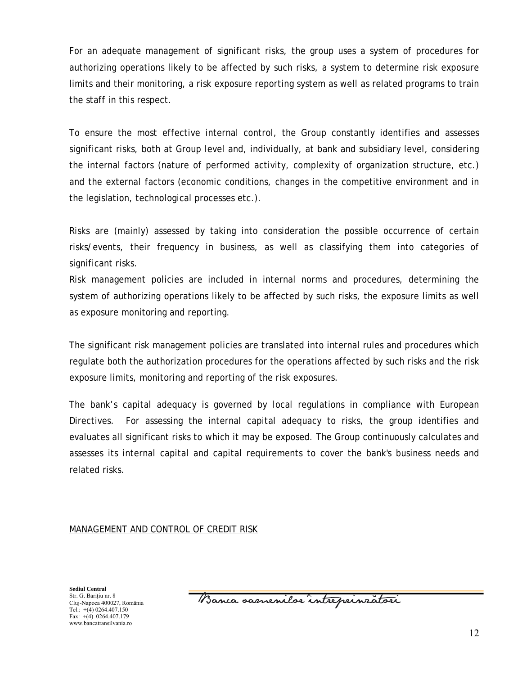For an adequate management of significant risks, the group uses a system of procedures for authorizing operations likely to be affected by such risks, a system to determine risk exposure limits and their monitoring, a risk exposure reporting system as well as related programs to train the staff in this respect.

To ensure the most effective internal control, the Group constantly identifies and assesses significant risks, both at Group level and, individually, at bank and subsidiary level, considering the internal factors (nature of performed activity, complexity of organization structure, etc.) and the external factors (economic conditions, changes in the competitive environment and in the legislation, technological processes etc.).

Risks are (mainly) assessed by taking into consideration the possible occurrence of certain risks/events, their frequency in business, as well as classifying them into categories of significant risks.

Risk management policies are included in internal norms and procedures, determining the system of authorizing operations likely to be affected by such risks, the exposure limits as well as exposure monitoring and reporting.

The significant risk management policies are translated into internal rules and procedures which regulate both the authorization procedures for the operations affected by such risks and the risk exposure limits, monitoring and reporting of the risk exposures.

The bank's capital adequacy is governed by local regulations in compliance with European Directives. For assessing the internal capital adequacy to risks, the group identifies and evaluates all significant risks to which it may be exposed. The Group continuously calculates and assesses its internal capital and capital requirements to cover the bank's business needs and related risks.

### MANAGEMENT AND CONTROL OF CREDIT RISK

Banca samenilor intreprinzatori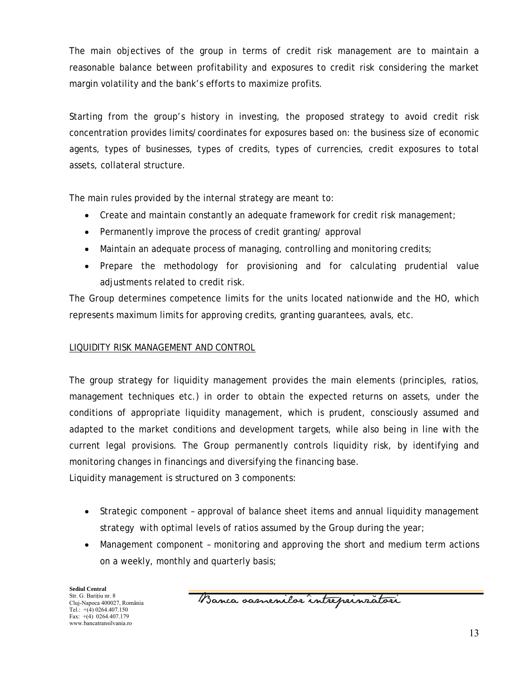The main objectives of the group in terms of credit risk management are to maintain a reasonable balance between profitability and exposures to credit risk considering the market margin volatility and the bank's efforts to maximize profits.

Starting from the group's history in investing, the proposed strategy to avoid credit risk concentration provides limits/coordinates for exposures based on: the business size of economic agents, types of businesses, types of credits, types of currencies, credit exposures to total assets, collateral structure.

The main rules provided by the internal strategy are meant to:

- Create and maintain constantly an adequate framework for credit risk management;
- Permanently improve the process of credit granting/ approval
- Maintain an adequate process of managing, controlling and monitoring credits;
- Prepare the methodology for provisioning and for calculating prudential value adjustments related to credit risk.

The Group determines competence limits for the units located nationwide and the HO, which represents maximum limits for approving credits, granting guarantees, avals, etc.

## LIQUIDITY RISK MANAGEMENT AND CONTROL

The group strategy for liquidity management provides the main elements (principles, ratios, management techniques etc.) in order to obtain the expected returns on assets, under the conditions of appropriate liquidity management, which is prudent, consciously assumed and adapted to the market conditions and development targets, while also being in line with the current legal provisions. The Group permanently controls liquidity risk, by identifying and monitoring changes in financings and diversifying the financing base.

Liquidity management is structured on 3 components:

- Strategic component approval of balance sheet items and annual liquidity management strategy with optimal levels of ratios assumed by the Group during the year;
- Management component monitoring and approving the short and medium term actions on a weekly, monthly and quarterly basis;

**Sediul Central**  Str. G. Bariţiu nr. 8 Cluj-Napoca 400027, România Tel.:  $+(4)$  0264.407.150 Fax: +(4) 0264.407.179 www.bancatransilvania.ro

Banca samenilor intreprinzatori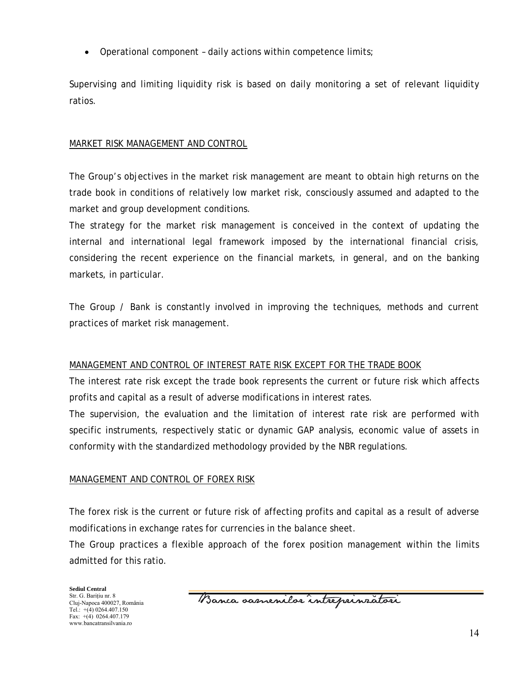• Operational component – daily actions within competence limits;

Supervising and limiting liquidity risk is based on daily monitoring a set of relevant liquidity ratios.

## MARKET RISK MANAGEMENT AND CONTROL

The Group's objectives in the market risk management are meant to obtain high returns on the trade book in conditions of relatively low market risk, consciously assumed and adapted to the market and group development conditions.

The strategy for the market risk management is conceived in the context of updating the internal and international legal framework imposed by the international financial crisis, considering the recent experience on the financial markets, in general, and on the banking markets, in particular.

The Group / Bank is constantly involved in improving the techniques, methods and current practices of market risk management.

### MANAGEMENT AND CONTROL OF INTEREST RATE RISK EXCEPT FOR THE TRADE BOOK

The interest rate risk except the trade book represents the current or future risk which affects profits and capital as a result of adverse modifications in interest rates.

The supervision, the evaluation and the limitation of interest rate risk are performed with specific instruments, respectively static or dynamic GAP analysis, economic value of assets in conformity with the standardized methodology provided by the NBR regulations.

### MANAGEMENT AND CONTROL OF FOREX RISK

The forex risk is the current or future risk of affecting profits and capital as a result of adverse modifications in exchange rates for currencies in the balance sheet.

The Group practices a flexible approach of the forex position management within the limits admitted for this ratio.

Banca oasnenilor intreprinzatori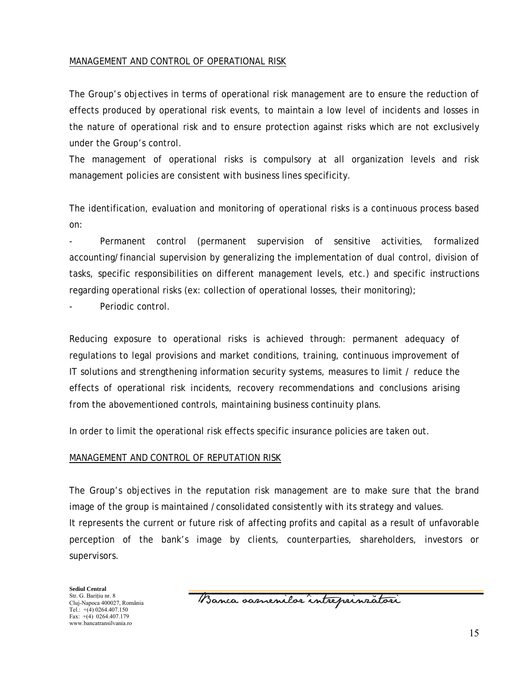### MANAGEMENT AND CONTROL OF OPERATIONAL RISK

The Group's objectives in terms of operational risk management are to ensure the reduction of effects produced by operational risk events, to maintain a low level of incidents and losses in the nature of operational risk and to ensure protection against risks which are not exclusively under the Group's control.

The management of operational risks is compulsory at all organization levels and risk management policies are consistent with business lines specificity.

The identification, evaluation and monitoring of operational risks is a continuous process based on:

Permanent control (permanent supervision of sensitive activities, formalized accounting/financial supervision by generalizing the implementation of dual control, division of tasks, specific responsibilities on different management levels, etc.) and specific instructions regarding operational risks (ex: collection of operational losses, their monitoring);

Periodic control.

Reducing exposure to operational risks is achieved through: permanent adequacy of regulations to legal provisions and market conditions, training, continuous improvement of IT solutions and strengthening information security systems, measures to limit / reduce the effects of operational risk incidents, recovery recommendations and conclusions arising from the abovementioned controls, maintaining business continuity plans.

In order to limit the operational risk effects specific insurance policies are taken out.

#### MANAGEMENT AND CONTROL OF REPUTATION RISK

The Group's objectives in the reputation risk management are to make sure that the brand image of the group is maintained /consolidated consistently with its strategy and values. It represents the current or future risk of affecting profits and capital as a result of unfavorable perception of the bank's image by clients, counterparties, shareholders, investors or supervisors.

Banca samenilor intreprinzatori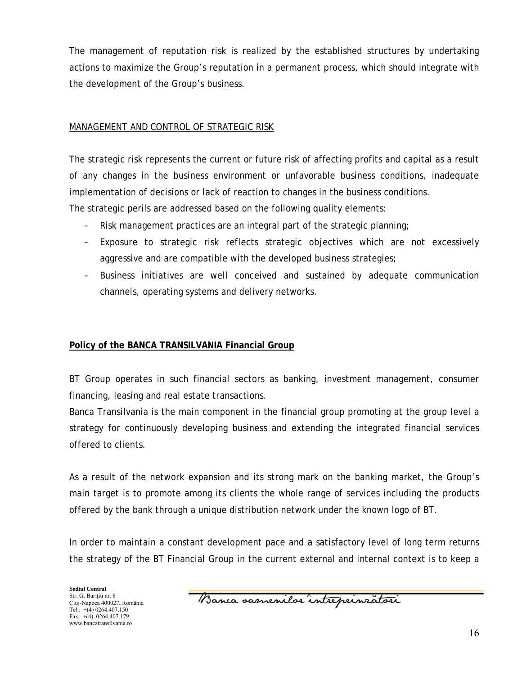The management of reputation risk is realized by the established structures by undertaking actions to maximize the Group's reputation in a permanent process, which should integrate with the development of the Group's business.

## MANAGEMENT AND CONTROL OF STRATEGIC RISK

The strategic risk represents the current or future risk of affecting profits and capital as a result of any changes in the business environment or unfavorable business conditions, inadequate implementation of decisions or lack of reaction to changes in the business conditions. The strategic perils are addressed based on the following quality elements:

- Risk management practices are an integral part of the strategic planning;
- Exposure to strategic risk reflects strategic objectives which are not excessively aggressive and are compatible with the developed business strategies;
- Business initiatives are well conceived and sustained by adequate communication channels, operating systems and delivery networks.

## **Policy of the BANCA TRANSILVANIA Financial Group**

BT Group operates in such financial sectors as banking, investment management, consumer financing, leasing and real estate transactions.

Banca Transilvania is the main component in the financial group promoting at the group level a strategy for continuously developing business and extending the integrated financial services offered to clients.

As a result of the network expansion and its strong mark on the banking market, the Group's main target is to promote among its clients the whole range of services including the products offered by the bank through a unique distribution network under the known logo of BT.

In order to maintain a constant development pace and a satisfactory level of long term returns the strategy of the BT Financial Group in the current external and internal context is to keep a

Banca samenilor intreprinzatori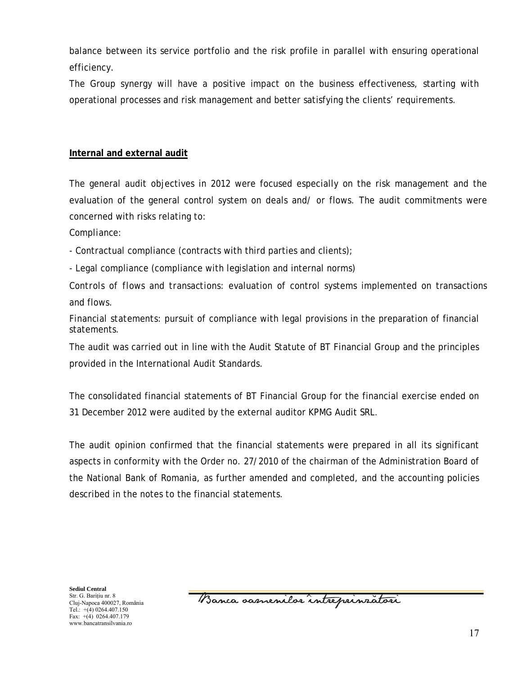balance between its service portfolio and the risk profile in parallel with ensuring operational efficiency.

The Group synergy will have a positive impact on the business effectiveness, starting with operational processes and risk management and better satisfying the clients' requirements.

## **Internal and external audit**

The general audit objectives in 2012 were focused especially on the risk management and the evaluation of the general control system on deals and/ or flows. The audit commitments were concerned with risks relating to:

*Compliance:* 

- Contractual compliance (contracts with third parties and clients);

- Legal compliance (compliance with legislation and internal norms)

*Controls of flows and transactions*: evaluation of control systems implemented on transactions and flows.

*Financial statements*: pursuit of compliance with legal provisions in the preparation of financial statements.

The audit was carried out in line with the Audit Statute of BT Financial Group and the principles provided in the International Audit Standards.

The consolidated financial statements of BT Financial Group for the financial exercise ended on 31 December 2012 were audited by the external auditor KPMG Audit SRL.

The audit opinion confirmed that the financial statements were prepared in all its significant aspects in conformity with the Order no. 27/2010 of the chairman of the Administration Board of the National Bank of Romania, as further amended and completed, and the accounting policies described in the notes to the financial statements.

Banca samenilor intreprinzatori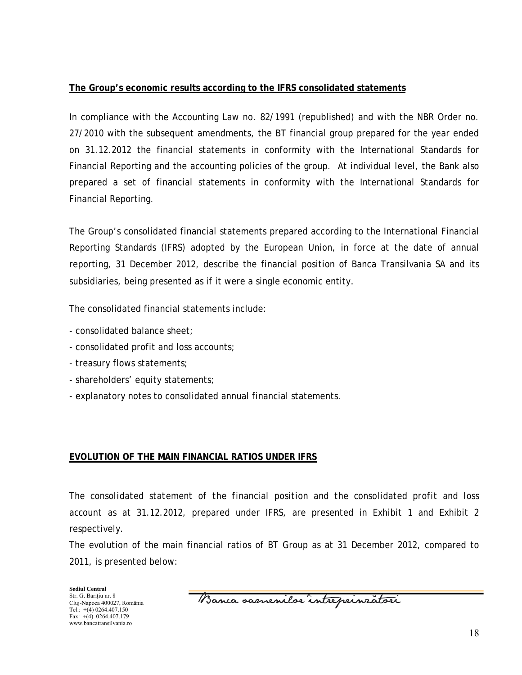## **The Group's economic results according to the IFRS consolidated statements**

In compliance with the Accounting Law no. 82/1991 (republished) and with the NBR Order no. 27/2010 with the subsequent amendments, the BT financial group prepared for the year ended on 31.12.2012 the financial statements in conformity with the International Standards for Financial Reporting and the accounting policies of the group. At individual level, the Bank also prepared a set of financial statements in conformity with the International Standards for Financial Reporting.

The Group's consolidated financial statements prepared according to the International Financial Reporting Standards (IFRS) adopted by the European Union, in force at the date of annual reporting, 31 December 2012, describe the financial position of Banca Transilvania SA and its subsidiaries, being presented as if it were a single economic entity.

The consolidated financial statements include:

- consolidated balance sheet;
- consolidated profit and loss accounts;
- treasury flows statements;
- shareholders' equity statements;
- explanatory notes to consolidated annual financial statements.

## **EVOLUTION OF THE MAIN FINANCIAL RATIOS UNDER IFRS**

*The consolidated statement of the financial position and the consolidated profit and loss account* as at 31.12.2012, prepared under IFRS, are presented in Exhibit 1 and Exhibit 2 respectively.

The evolution of the main financial ratios of BT Group as at 31 December 2012, compared to 2011, is presented below:

Banca oasnenilor intreprinzatori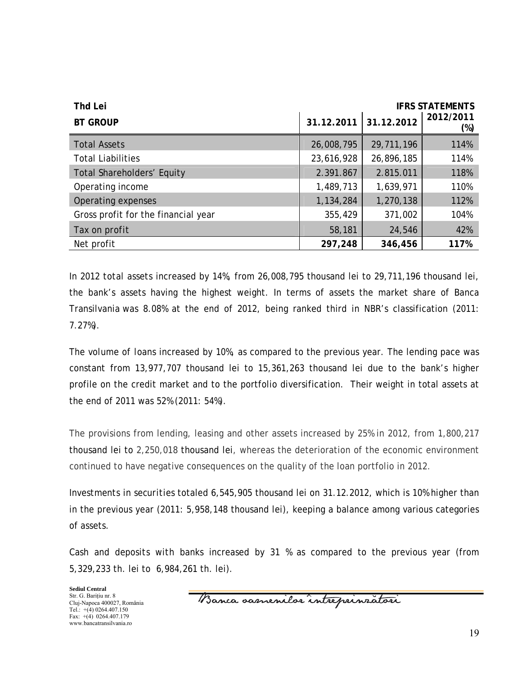| <b>Thd Lei</b><br><b>IFRS STATEMENTS</b> |            |                       |                  |
|------------------------------------------|------------|-----------------------|------------------|
| <b>BT GROUP</b>                          |            | 31.12.2011 31.12.2012 | 2012/2011<br>(%) |
| <b>Total Assets</b>                      | 26,008,795 | 29,711,196            | 114%             |
| <b>Total Liabilities</b>                 | 23,616,928 | 26,896,185            | 114%             |
| <b>Total Shareholders' Equity</b>        | 2.391.867  | 2.815.011             | 118%             |
| Operating income                         | 1,489,713  | 1,639,971             | 110%             |
| Operating expenses                       | 1,134,284  | 1,270,138             | 112%             |
| Gross profit for the financial year      | 355,429    | 371,002               | 104%             |
| Tax on profit                            | 58,181     | 24,546                | 42%              |
| Net profit                               | 297,248    | 346,456               | 117%             |

*In 2012 total assets* increased by 14%, from 26,008,795 thousand lei to 29,711,196 thousand lei, the bank's assets having the highest weight. In terms of assets the market share of Banca Transilvania was 8.08% at the end of 2012, being ranked third in NBR's classification (2011: 7.27%).

The *volume of loans* increased by 10%, as compared to the previous year. The lending pace was constant from 13,977,707 thousand lei to 15,361,263 thousand lei due to the bank's higher profile on the credit market and to the portfolio diversification. Their weight in total assets at the end of 2011 was 52% (2011: 54%).

The provisions from lending, leasing and other assets increased by 25% in 2012, from 1,800,217 thousand lei to 2,250,018 thousand lei, whereas the deterioration of the economic environment continued to have negative consequences on the quality of the loan portfolio in 2012.

*Investments in securities* totaled 6,545,905 thousand lei on 31.12.2012, which is 10% higher than in the previous year (2011: 5,958,148 thousand lei), keeping a balance among various categories of assets.

*Cash and deposits with banks* increased by 31 % as compared to the previous year (from 5,329,233 th. lei to 6,984,261 th. lei).

Banca samenilor intreprinratori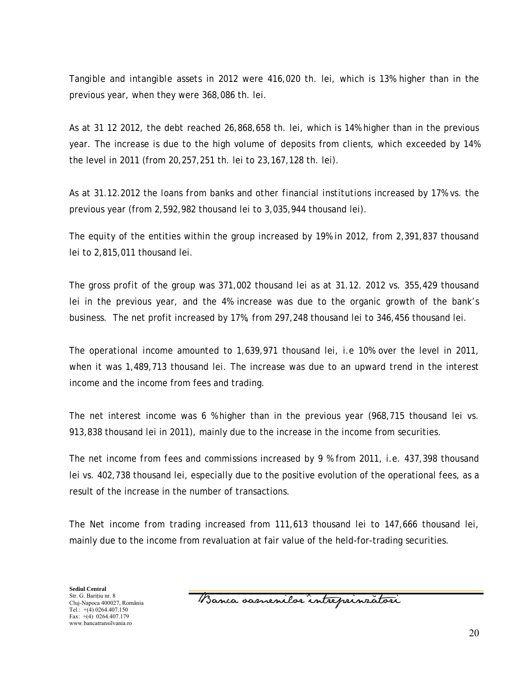*Tangible and intangible assets* in 2012 were 416,020 th. lei, which is 13% higher than in the previous year, when they were 368,086 th. lei.

As at 31 12 2012, *the debt* reached 26,868,658 th. lei, which is 14% higher than in the previous year. The increase is due to the high volume of deposits from clients, which exceeded by 14% the level in 2011 (from 20,257,251 th. lei to 23,167,128 th. lei).

As at 31.12.2012 the *loans from banks and other financial institutions* increased by 17% vs. the previous year (from 2,592,982 thousand lei to 3,035,944 thousand lei).

The *equity* of the entities within the group increased by 19% in 2012, from 2,391,837 thousand lei to 2,815,011 thousand lei.

The *gross profit* of the group was 371,002 thousand lei as at 31.12. 2012 vs. 355,429 thousand lei in the previous year, and the 4% increase was due to the organic growth of the bank's business. The net profit increased by 17%, from 297,248 thousand lei to 346,456 thousand lei.

*The operational income* amounted to 1,639,971 thousand lei, i.e 10% over the level in 2011, when it was 1,489,713 thousand lei. The increase was due to an upward trend in the interest income and the income from fees and trading.

The net interest income was 6 % higher than in the previous year (968,715 thousand lei vs. 913,838 thousand lei in 2011), mainly due to the increase in the income from securities.

*The net income from fees and commissions* increased by 9 % from 2011, i.e. 437,398 thousand lei vs. 402,738 thousand lei, especially due to the positive evolution of the operational fees, as a result of the increase in the number of transactions.

*The Net income from trading* increased from 111,613 thousand lei to 147,666 thousand lei, mainly due to the income from revaluation at fair value of the held-for-trading securities.

Banca samenilor intreprinzatori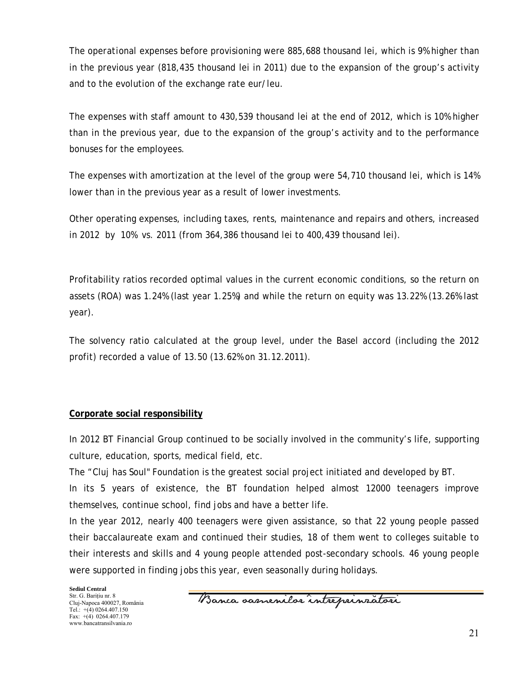The *operational expenses* before provisioning were 885,688 thousand lei, which is 9% higher than in the previous year (818,435 thousand lei in 2011) due to the expansion of the group's activity and to the evolution of the exchange rate eur/leu.

The expenses with staff amount to 430,539 thousand lei at the end of 2012, which is 10% higher than in the previous year, due to the expansion of the group's activity and to the performance bonuses for the employees.

The expenses with amortization at the level of the group were 54,710 thousand lei, which is 14% lower than in the previous year as a result of lower investments.

Other operating expenses, including taxes, rents, maintenance and repairs and others, increased in 2012 by 10% vs. 2011 (from 364,386 thousand lei to 400,439 thousand lei).

Profitability ratios recorded optimal values in the current economic conditions, so the return on assets (ROA) was 1.24% (last year 1.25%) and while the return on equity was 13.22% (13.26% last year).

The solvency ratio calculated at the group level, under the Basel accord (including the 2012 profit) recorded a value of 13.50 (13.62% on 31.12.2011).

### **Corporate social responsibility**

In 2012 BT Financial Group continued to be socially involved in the community's life, supporting culture, education, sports, medical field, etc.

The "Cluj has Soul" Foundation is the greatest social project initiated and developed by BT.

In its 5 years of existence, the BT foundation helped almost 12000 teenagers improve themselves, continue school, find jobs and have a better life.

In the year 2012, nearly 400 teenagers were given assistance, so that 22 young people passed their baccalaureate exam and continued their studies, 18 of them went to colleges suitable to their interests and skills and 4 young people attended post-secondary schools. 46 young people were supported in finding jobs this year, even seasonally during holidays.

Banca samenilor intreprinzatori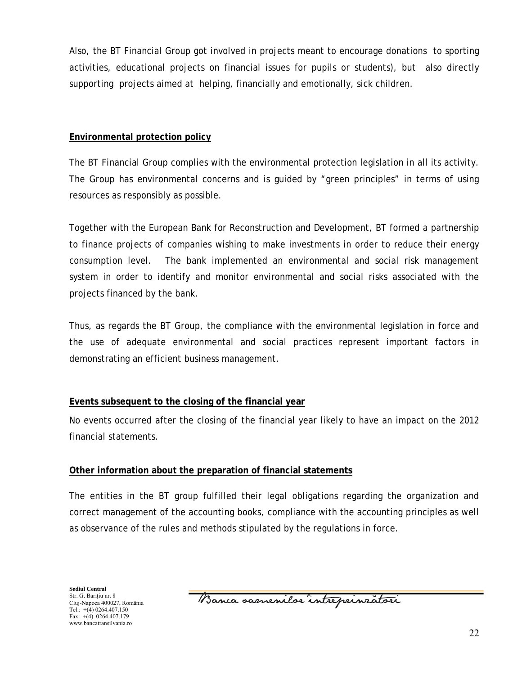Also, the BT Financial Group got involved in projects meant to encourage donations to sporting activities, educational projects on financial issues for pupils or students), but also directly supporting projects aimed at helping, financially and emotionally, sick children.

## **Environmental protection policy**

The BT Financial Group complies with the environmental protection legislation in all its activity. The Group has environmental concerns and is guided by "green principles" in terms of using resources as responsibly as possible.

Together with the European Bank for Reconstruction and Development, BT formed a partnership to finance projects of companies wishing to make investments in order to reduce their energy consumption level. The bank implemented an environmental and social risk management system in order to identify and monitor environmental and social risks associated with the projects financed by the bank.

Thus, as regards the BT Group, the compliance with the environmental legislation in force and the use of adequate environmental and social practices represent important factors in demonstrating an efficient business management.

## **Events subsequent to the closing of the financial year**

No events occurred after the closing of the financial year likely to have an impact on the 2012 financial statements.

## **Other information about the preparation of financial statements**

The entities in the BT group fulfilled their legal obligations regarding the organization and correct management of the accounting books, compliance with the accounting principles as well as observance of the rules and methods stipulated by the regulations in force.

Banca samenilor intreprinzatori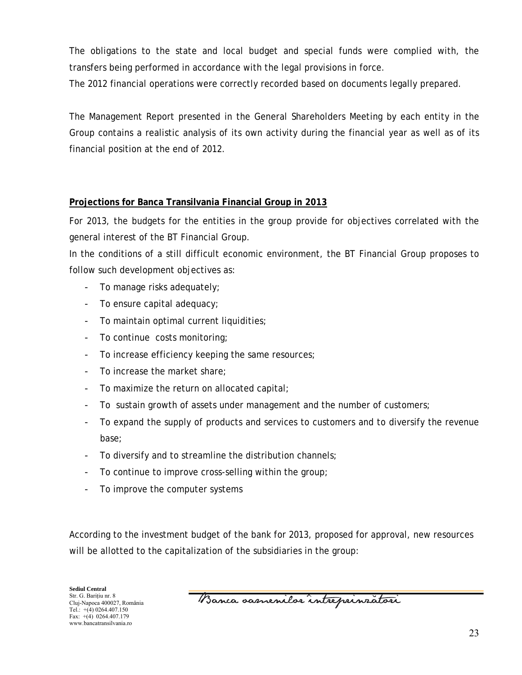The obligations to the state and local budget and special funds were complied with, the transfers being performed in accordance with the legal provisions in force.

The 2012 financial operations were correctly recorded based on documents legally prepared.

The Management Report presented in the General Shareholders Meeting by each entity in the Group contains a realistic analysis of its own activity during the financial year as well as of its financial position at the end of 2012.

## **Projections for Banca Transilvania Financial Group in 2013**

For 2013, the budgets for the entities in the group provide for objectives correlated with the general interest of the BT Financial Group.

In the conditions of a still difficult economic environment, the BT Financial Group proposes to follow such development objectives as:

- To manage risks adequately;
- To ensure capital adequacy;
- To maintain optimal current liquidities;
- To continue costs monitoring;
- To increase efficiency keeping the same resources;
- To increase the market share:
- To maximize the return on allocated capital;
- To sustain growth of assets under management and the number of customers;
- To expand the supply of products and services to customers and to diversify the revenue base;
- To diversify and to streamline the distribution channels;
- To continue to improve cross-selling within the group;
- To improve the computer systems

According to the investment budget of the bank for 2013, proposed for approval, new resources will be allotted to the capitalization of the subsidiaries in the group:

Banca oasnenilor intreprinzatori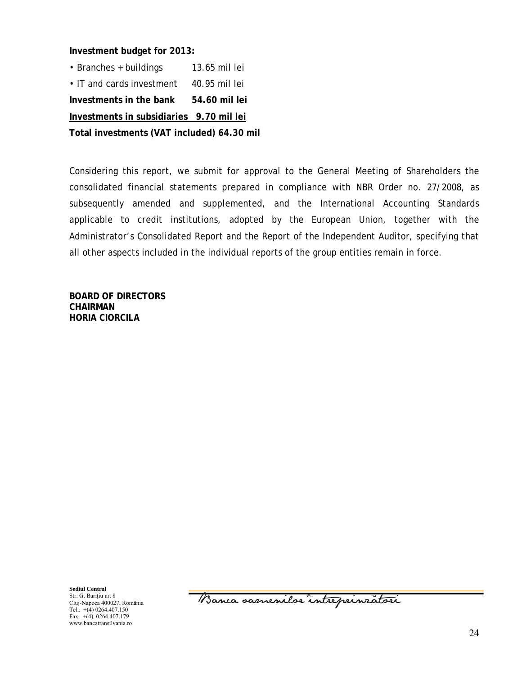**Investment budget for 2013:**

• Branches + buildings 13.65 mil lei • IT and cards investment 40.95 mil lei **Investments in the bank 54.60 mil lei Investments in subsidiaries 9.70 mil lei** 

**Total investments (VAT included) 64.30 mil**

Considering this report, we submit for approval to the General Meeting of Shareholders the consolidated financial statements prepared in compliance with NBR Order no. 27/2008, as subsequently amended and supplemented, and the International Accounting Standards applicable to credit institutions, adopted by the European Union, together with the Administrator's Consolidated Report and the Report of the Independent Auditor, specifying that all other aspects included in the individual reports of the group entities remain in force.

**BOARD OF DIRECTORS CHAIRMAN HORIA CIORCILA** 

**Sediul Central**  Str. G. Bariţiu nr. 8 Cluj-Napoca 400027, România Tel.:  $+(4)$  0264.407.150 Fax: +(4) 0264.407.179 www.bancatransilvania.ro

Banca samenilor intreprinratori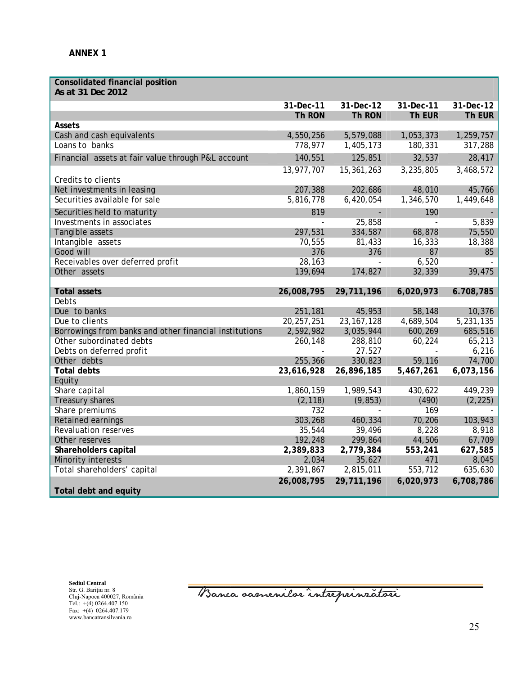| <b>Consolidated financial position</b><br>As at 31 Dec 2012 |              |              |               |           |
|-------------------------------------------------------------|--------------|--------------|---------------|-----------|
|                                                             | 31-Dec-11    | 31-Dec-12    | 31-Dec-11     | 31-Dec-12 |
|                                                             | Th RON       | Th RON       | Th EUR        | Th EUR    |
| Assets                                                      |              |              |               |           |
| Cash and cash equivalents                                   | 4,550,256    | 5,579,088    | 1,053,373     | 1,259,757 |
| Loans to banks                                              | 778,977      | 1,405,173    | 180,331       | 317,288   |
| Financial assets at fair value through P&L account          | 140,551      | 125,851      | 32,537        | 28,417    |
|                                                             | 13,977,707   | 15,361,263   | 3,235,805     | 3,468,572 |
| Credits to clients                                          |              |              |               |           |
| Net investments in leasing                                  | 207,388      | 202,686      | 48,010        | 45,766    |
| Securities available for sale                               | 5,816,778    | 6,420,054    | 1,346,570     | 1,449,648 |
| Securities held to maturity                                 | 819          |              | 190           |           |
| Investments in associates                                   | $\omega$     | 25,858       | $\mathcal{L}$ | 5,839     |
| Tangible assets                                             | 297,531      | 334,587      | 68,878        | 75,550    |
| Intangible assets                                           | 70,555       | 81,433       | 16,333        | 18,388    |
| Good will                                                   | 376          | 376          | 87            | 85        |
| Receivables over deferred profit                            | 28,163       | $\Box$       | 6,520         |           |
| Other assets                                                | 139,694      | 174,827      | 32,339        | 39,475    |
|                                                             |              |              |               |           |
| <b>Total assets</b>                                         | 26,008,795   | 29,711,196   | 6,020,973     | 6.708,785 |
| Debts                                                       |              |              |               |           |
| Due to banks                                                | 251,181      | 45,953       | 58,148        | 10,376    |
| Due to clients                                              | 20, 257, 251 | 23, 167, 128 | 4,689,504     | 5,231,135 |
| Borrowings from banks and other financial institutions      | 2,592,982    | 3,035,944    | 600,269       | 685,516   |
| Other subordinated debts                                    | 260,148      | 288,810      | 60,224        | 65,213    |
| Debts on deferred profit                                    |              | 27.527       |               | 6,216     |
| Other debts                                                 | 255,366      | 330,823      | 59,116        | 74,700    |
| <b>Total debts</b>                                          | 23,616,928   | 26,896,185   | 5,467,261     | 6,073,156 |
| Equity                                                      |              |              |               |           |
| Share capital                                               | 1,860,159    | 1,989,543    | 430,622       | 449,239   |
| Treasury shares                                             | (2, 118)     | (9, 853)     | (490)         | (2, 225)  |
| Share premiums                                              | 732          |              | 169           |           |
| Retained earnings                                           | 303,268      | 460,334      | 70,206        | 103,943   |
| <b>Revaluation reserves</b>                                 | 35,544       | 39,496       | 8,228         | 8,918     |
| Other reserves                                              | 192,248      | 299,864      | 44,506        | 67,709    |
| Shareholders capital                                        | 2,389,833    | 2,779,384    | 553,241       | 627,585   |
| Minority interests                                          | 2,034        | 35,627       | 471           | 8,045     |
| Total shareholders' capital                                 | 2,391,867    | 2,815,011    | 553,712       | 635,630   |
| Total debt and equity                                       | 26,008,795   | 29,711,196   | 6,020,973     | 6,708,786 |

**Sediul Central**  Str. G. Bariţiu nr. 8 Cluj-Napoca 400027, România Tel.: +(4) 0264.407.150 Fax: +(4) 0264.407.179 www.bancatransilvania.ro

Banca samenilar intreprinzatori